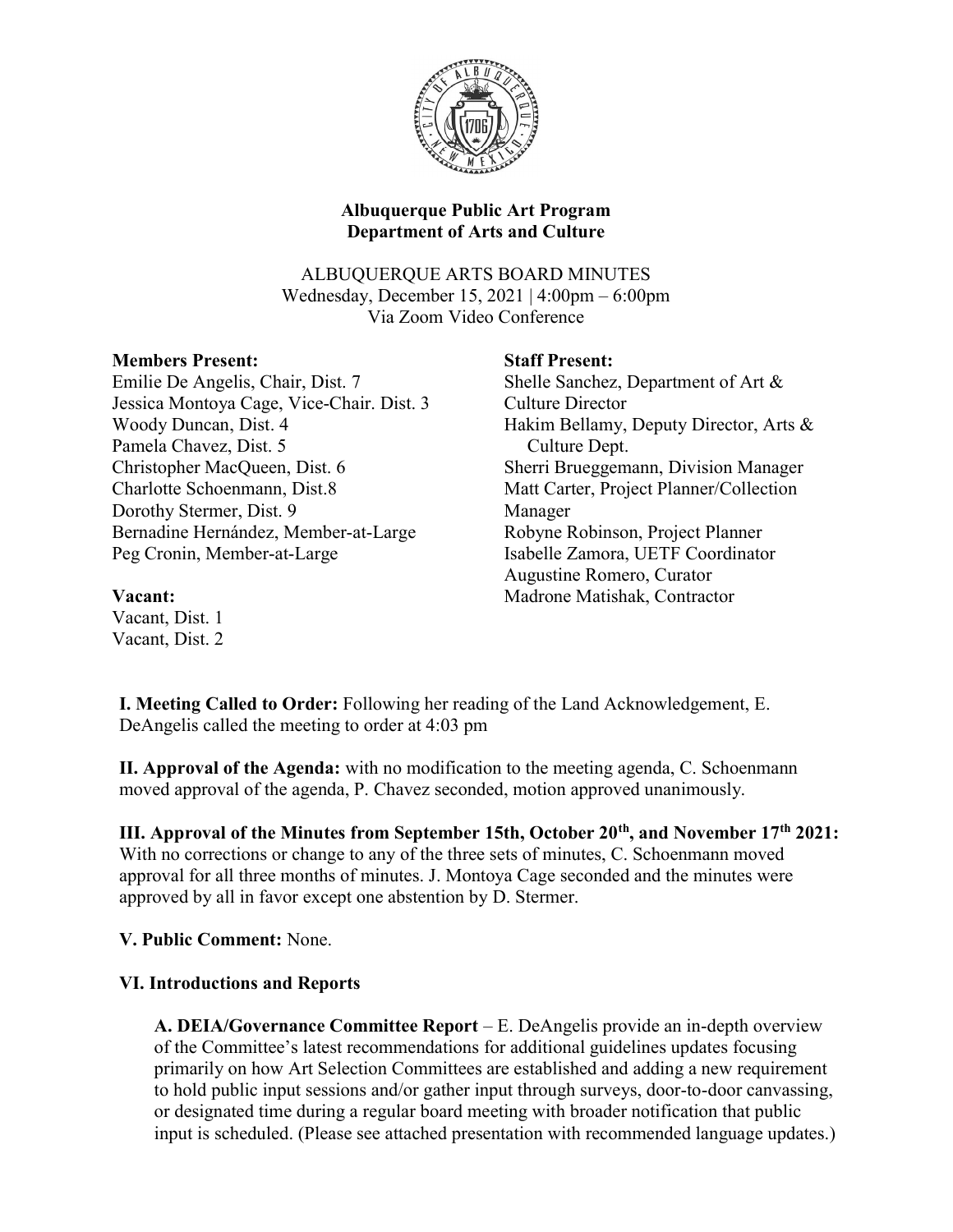

# Albuquerque Public Art Program Department of Arts and Culture

ALBUQUERQUE ARTS BOARD MINUTES Wednesday, December 15, 2021 | 4:00pm – 6:00pm Via Zoom Video Conference

### Members Present:

Emilie De Angelis, Chair, Dist. 7 Jessica Montoya Cage, Vice-Chair. Dist. 3 Woody Duncan, Dist. 4 Pamela Chavez, Dist. 5 Christopher MacQueen, Dist. 6 Charlotte Schoenmann, Dist.8 Dorothy Stermer, Dist. 9 Bernadine Hernández, Member-at-Large Peg Cronin, Member-at-Large

### Staff Present:

Shelle Sanchez, Department of Art & Culture Director Hakim Bellamy, Deputy Director, Arts & Culture Dept. Sherri Brueggemann, Division Manager Matt Carter, Project Planner/Collection Manager Robyne Robinson, Project Planner Isabelle Zamora, UETF Coordinator Augustine Romero, Curator Madrone Matishak, Contractor

#### Vacant:

Vacant, Dist. 1 Vacant, Dist. 2

I. Meeting Called to Order: Following her reading of the Land Acknowledgement, E. DeAngelis called the meeting to order at 4:03 pm

II. Approval of the Agenda: with no modification to the meeting agenda, C. Schoenmann moved approval of the agenda, P. Chavez seconded, motion approved unanimously.

III. Approval of the Minutes from September 15th, October 20<sup>th</sup>, and November 17<sup>th</sup> 2021: With no corrections or change to any of the three sets of minutes, C. Schoenmann moved approval for all three months of minutes. J. Montoya Cage seconded and the minutes were approved by all in favor except one abstention by D. Stermer.

# V. Public Comment: None.

# VI. Introductions and Reports

A. DEIA/Governance Committee Report – E. DeAngelis provide an in-depth overview of the Committee's latest recommendations for additional guidelines updates focusing primarily on how Art Selection Committees are established and adding a new requirement to hold public input sessions and/or gather input through surveys, door-to-door canvassing, or designated time during a regular board meeting with broader notification that public input is scheduled. (Please see attached presentation with recommended language updates.)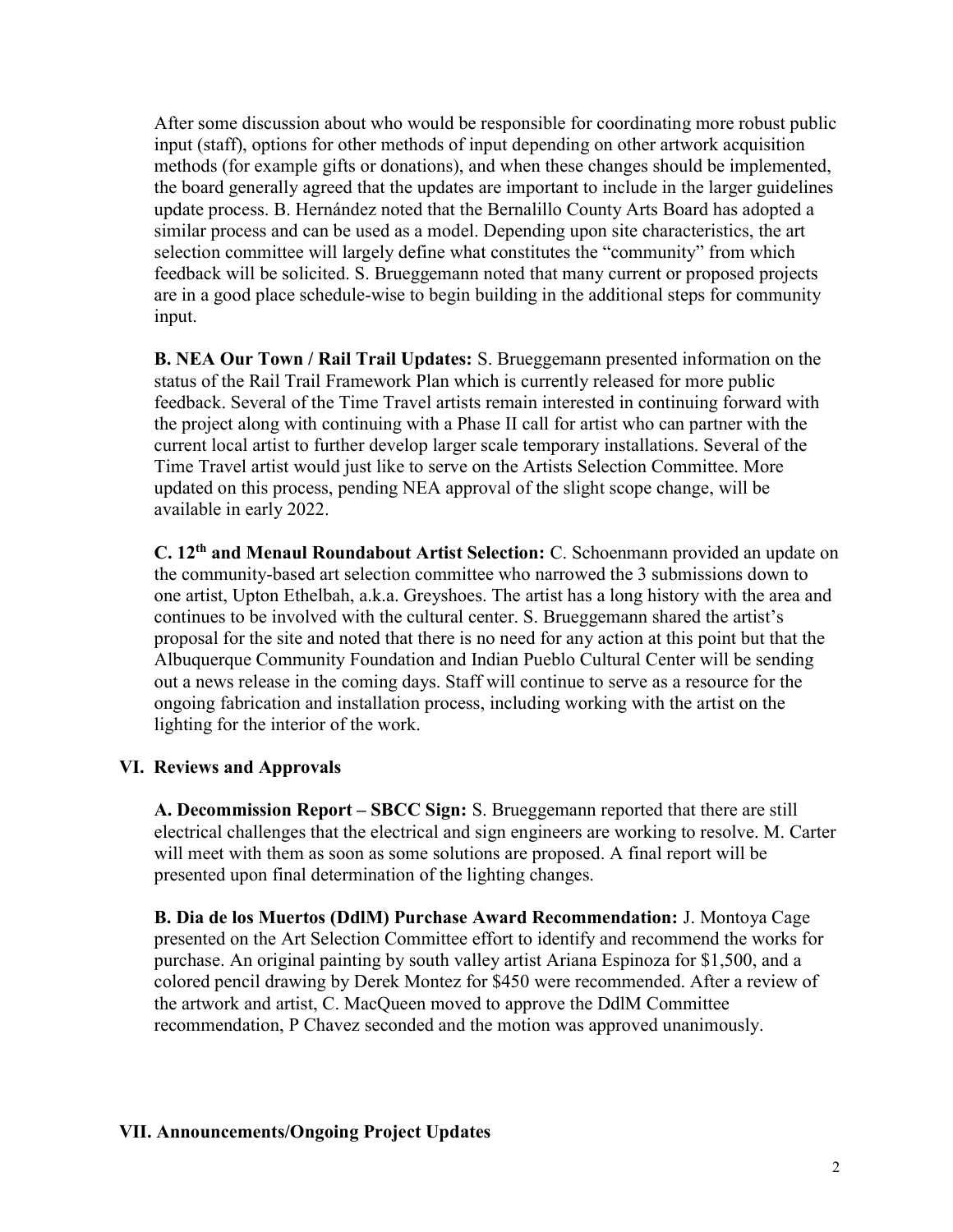After some discussion about who would be responsible for coordinating more robust public input (staff), options for other methods of input depending on other artwork acquisition methods (for example gifts or donations), and when these changes should be implemented, the board generally agreed that the updates are important to include in the larger guidelines update process. B. Hernández noted that the Bernalillo County Arts Board has adopted a similar process and can be used as a model. Depending upon site characteristics, the art selection committee will largely define what constitutes the "community" from which feedback will be solicited. S. Brueggemann noted that many current or proposed projects are in a good place schedule-wise to begin building in the additional steps for community input.

B. NEA Our Town / Rail Trail Updates: S. Brueggemann presented information on the status of the Rail Trail Framework Plan which is currently released for more public feedback. Several of the Time Travel artists remain interested in continuing forward with the project along with continuing with a Phase II call for artist who can partner with the current local artist to further develop larger scale temporary installations. Several of the Time Travel artist would just like to serve on the Artists Selection Committee. More updated on this process, pending NEA approval of the slight scope change, will be available in early 2022.

C. 12th and Menaul Roundabout Artist Selection: C. Schoenmann provided an update on the community-based art selection committee who narrowed the 3 submissions down to one artist, Upton Ethelbah, a.k.a. Greyshoes. The artist has a long history with the area and continues to be involved with the cultural center. S. Brueggemann shared the artist's proposal for the site and noted that there is no need for any action at this point but that the Albuquerque Community Foundation and Indian Pueblo Cultural Center will be sending out a news release in the coming days. Staff will continue to serve as a resource for the ongoing fabrication and installation process, including working with the artist on the lighting for the interior of the work.

#### VI. Reviews and Approvals

A. Decommission Report – SBCC Sign: S. Brueggemann reported that there are still electrical challenges that the electrical and sign engineers are working to resolve. M. Carter will meet with them as soon as some solutions are proposed. A final report will be presented upon final determination of the lighting changes.

 B. Dia de los Muertos (DdlM) Purchase Award Recommendation: J. Montoya Cage presented on the Art Selection Committee effort to identify and recommend the works for purchase. An original painting by south valley artist Ariana Espinoza for \$1,500, and a colored pencil drawing by Derek Montez for \$450 were recommended. After a review of the artwork and artist, C. MacQueen moved to approve the DdlM Committee recommendation, P Chavez seconded and the motion was approved unanimously.

#### VII. Announcements/Ongoing Project Updates